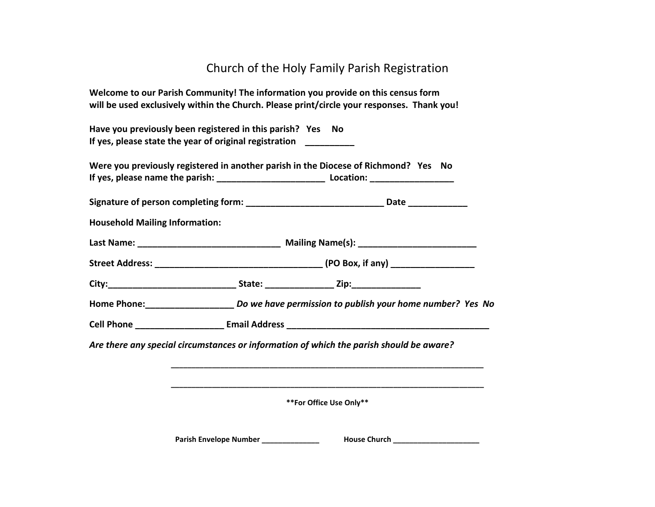## Church of the Holy Family Parish Registration

**Welcome to our Parish Community! The information you provide on this census form will be used exclusively within the Church. Please print/circle your responses. Thank you!**

**Have you previously been registered in this parish? Yes No If yes, please state the year of original registration \_\_\_\_\_\_\_\_\_\_**

**Were you previously registered in another parish in the Diocese of Richmond? Yes No** If yes, please name the parish: **Location: Location: Location:** 

**Signature of person completing form: \_\_\_\_\_\_\_\_\_\_\_\_\_\_\_\_\_\_\_\_\_\_\_\_\_\_\_\_ Date \_\_\_\_\_\_\_\_\_\_\_\_**

**Household Mailing Information:**

Last Name: The Communication of the Mailing Name(s): Last Name and Society of the Communication of the Communication of the Communication of the Communication of the Communication of the Communication of the Communication

**Street Address: \_\_\_\_\_\_\_\_\_\_\_\_\_\_\_\_\_\_\_\_\_\_\_\_\_\_\_\_\_\_\_\_\_\_ (PO Box, if any) \_\_\_\_\_\_\_\_\_\_\_\_\_\_\_\_\_**

**City:\_\_\_\_\_\_\_\_\_\_\_\_\_\_\_\_\_\_\_\_\_\_\_\_\_\_ State: \_\_\_\_\_\_\_\_\_\_\_\_\_\_ Zip:\_\_\_\_\_\_\_\_\_\_\_\_\_\_**

**Home Phone:\_\_\_\_\_\_\_\_\_\_\_\_\_\_\_\_\_\_** *Do we have permission to publish your home number? Yes No*

**Cell Phone Email Address <b>Email Address Email Address Email Address Email Address Email Address Email Address Email Address Email Address Email Address Email Address Email Address Email Address E** 

*Are there any special circumstances or information of which the parish should be aware?*

**\*\*For Office Use Only\*\***

**\_\_\_\_\_\_\_\_\_\_\_\_\_\_\_\_\_\_\_\_\_\_\_\_\_\_\_\_\_\_\_\_\_\_\_\_\_\_\_\_\_\_\_\_\_\_\_\_\_\_\_\_\_\_\_\_\_\_\_\_\_\_\_\_\_\_\_\_\_\_\_\_\_\_\_\_**

**\_\_\_\_\_\_\_\_\_\_\_\_\_\_\_\_\_\_\_\_\_\_\_\_\_\_\_\_\_\_\_\_\_\_\_\_\_\_\_\_\_\_\_\_\_\_\_\_\_\_\_\_\_\_\_\_\_\_\_\_\_\_\_\_\_\_\_\_\_\_\_\_\_\_\_\_**

**Parish Envelope Number \_\_\_\_\_\_\_\_\_\_\_\_\_\_ House Church \_\_\_\_\_\_\_\_\_\_\_\_\_\_\_\_\_\_\_\_\_**